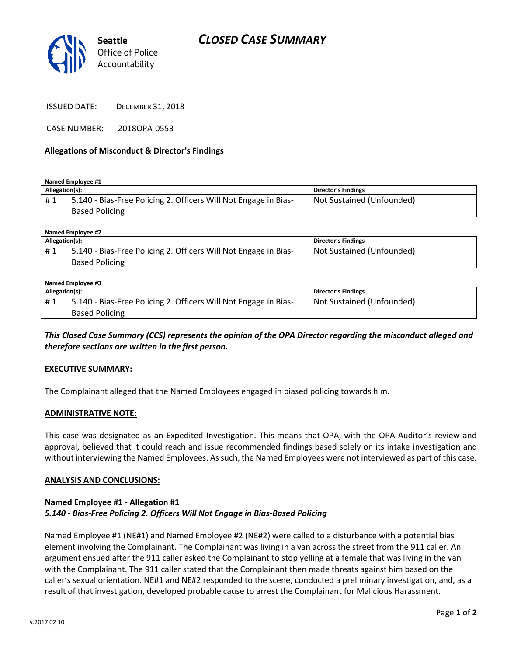

ISSUED DATE: DECEMBER 31, 2018

CASE NUMBER: 2018OPA-0553

#### **Allegations of Misconduct & Director's Findings**

**Named Employee #1**

| Allegation(s): |                                                                                          | <b>Director's Findings</b> |
|----------------|------------------------------------------------------------------------------------------|----------------------------|
| #1             | 5.140 - Bias-Free Policing 2. Officers Will Not Engage in Bias-<br><b>Based Policing</b> | Not Sustained (Unfounded)  |

| Named Employee #2 |                                                                 |                            |  |
|-------------------|-----------------------------------------------------------------|----------------------------|--|
| Allegation(s):    |                                                                 | <b>Director's Findings</b> |  |
| #1                | 5.140 - Bias-Free Policing 2. Officers Will Not Engage in Bias- | Not Sustained (Unfounded)  |  |
|                   | <b>Based Policing</b>                                           |                            |  |

#### **Named Employee #3 Allegation(s): Director's Findings** # 1 | 5.140 - Bias-Free Policing 2. Officers Will Not Engage in Bias-Based Policing Not Sustained (Unfounded)

*This Closed Case Summary (CCS) represents the opinion of the OPA Director regarding the misconduct alleged and therefore sections are written in the first person.* 

#### **EXECUTIVE SUMMARY:**

The Complainant alleged that the Named Employees engaged in biased policing towards him.

#### **ADMINISTRATIVE NOTE:**

This case was designated as an Expedited Investigation. This means that OPA, with the OPA Auditor's review and approval, believed that it could reach and issue recommended findings based solely on its intake investigation and without interviewing the Named Employees. As such, the Named Employees were not interviewed as part of this case.

#### **ANALYSIS AND CONCLUSIONS:**

### **Named Employee #1 - Allegation #1** *5.140 - Bias-Free Policing 2. Officers Will Not Engage in Bias-Based Policing*

Named Employee #1 (NE#1) and Named Employee #2 (NE#2) were called to a disturbance with a potential bias element involving the Complainant. The Complainant was living in a van across the street from the 911 caller. An argument ensued after the 911 caller asked the Complainant to stop yelling at a female that was living in the van with the Complainant. The 911 caller stated that the Complainant then made threats against him based on the caller's sexual orientation. NE#1 and NE#2 responded to the scene, conducted a preliminary investigation, and, as a result of that investigation, developed probable cause to arrest the Complainant for Malicious Harassment.